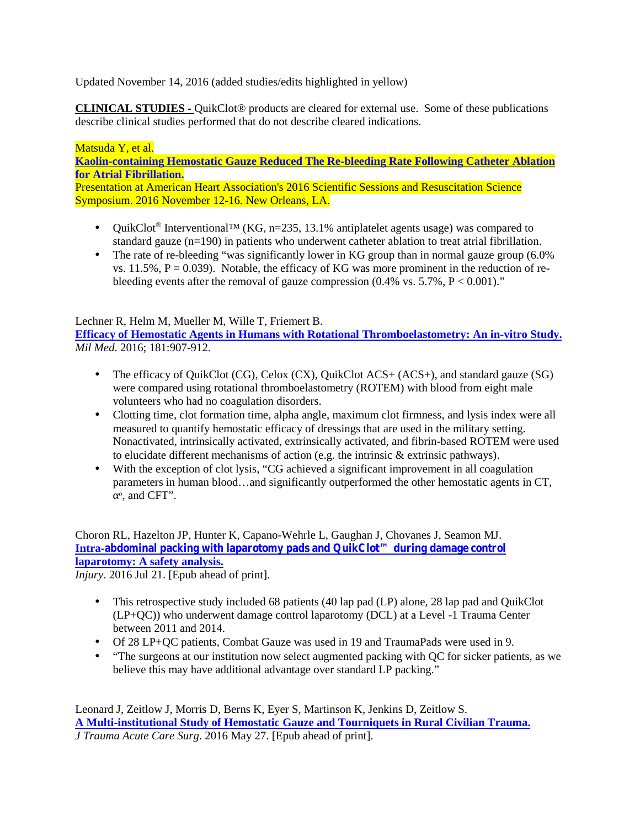Updated November 14, 2016 (added studies/edits highlighted in yellow)

**CLINICAL STUDIES -** QuikClot® products are cleared for external use. Some of these publications describe clinical studies performed that do not describe cleared indications.

Matsuda Y, et al. **Kaolin-containing Hemostatic Gauze Reduced The Re-bleeding Rate Following Catheter Ablation for Atrial Fibrillation.** Presentation at American Heart Association's 2016 Scientific Sessions and Resuscitation Science Symposium. 2016 November 12-16. New Orleans, LA.

- QuikClot<sup>®</sup> Interventional<sup>™</sup> (KG, n=235, 13.1% antiplatelet agents usage) was compared to standard gauze (n=190) in patients who underwent catheter ablation to treat atrial fibrillation.
- The rate of re-bleeding "was significantly lower in KG group than in normal gauze group (6.0% vs.  $11.5\%$ ,  $P = 0.039$ ). Notable, the efficacy of KG was more prominent in the reduction of rebleeding events after the removal of gauze compression  $(0.4\% \text{ vs. } 5.7\%, P < 0.001)$ ."

# Lechner R, Helm M, Mueller M, Wille T, Friemert B.

**Efficacy of Hemostatic Agents in Humans with Rotational Thromboelastometry: An in-vitro Study.** *Mil Med*. 2016; 181:907-912.

- The efficacy of QuikClot (CG), Celox (CX), QuikClot ACS+ (ACS+), and standard gauze (SG) were compared using rotational thromboelastometry (ROTEM) with blood from eight male volunteers who had no coagulation disorders.
- Clotting time, clot formation time, alpha angle, maximum clot firmness, and lysis index were all measured to quantify hemostatic efficacy of dressings that are used in the military setting. Nonactivated, intrinsically activated, extrinsically activated, and fibrin-based ROTEM were used to elucidate different mechanisms of action (e.g. the intrinsic & extrinsic pathways).
- With the exception of clot lysis, "CG achieved a significant improvement in all coagulation parameters in human blood…and significantly outperformed the other hemostatic agents in CT, <sup>o</sup>, and CFT".

Choron RL, Hazelton JP, Hunter K, Capano-Wehrle L, Gaughan J, Chovanes J, Seamon MJ. **Intra-abdominal packing with laparotomy pads and QuikClot™ during damage control laparotomy: A safety analysis.**

*Injury*. 2016 Jul 21. [Epub ahead of print].

- This retrospective study included 68 patients (40 lap pad (LP) alone, 28 lap pad and QuikClot (LP+QC)) who underwent damage control laparotomy (DCL) at a Level -1 Trauma Center between 2011 and 2014.
- Of 28 LP+QC patients, Combat Gauze was used in 19 and TraumaPads were used in 9.
- "The surgeons at our institution now select augmented packing with QC for sicker patients, as we believe this may have additional advantage over standard LP packing."

Leonard J, Zeitlow J, Morris D, Berns K, Eyer S, Martinson K, Jenkins D, Zeitlow S. **A Multi-institutional Study of Hemostatic Gauze and Tourniquets in Rural Civilian Trauma.** *J Trauma Acute Care Surg*. 2016 May 27. [Epub ahead of print].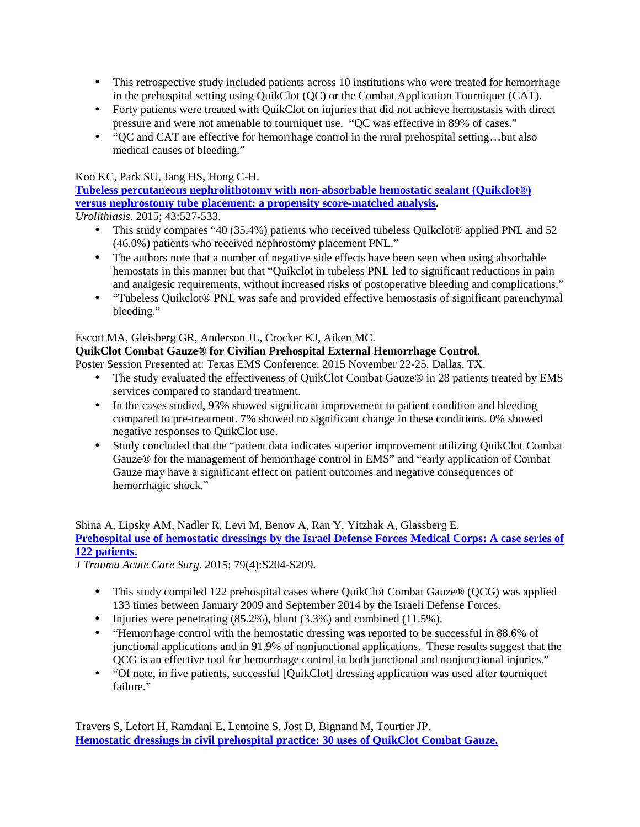- This retrospective study included patients across 10 institutions who were treated for hemorrhage in the prehospital setting using QuikClot (QC) or the Combat Application Tourniquet (CAT).
- Forty patients were treated with QuikClot on injuries that did not achieve hemostasis with direct pressure and were not amenable to tourniquet use. "QC was effective in 89% of cases."
- "QC and CAT are effective for hemorrhage control in the rural prehospital setting…but also medical causes of bleeding."

# Koo KC, Park SU, Jang HS, Hong C-H.

**Tubeless percutaneous nephrolithotomy with non-absorbable hemostatic sealant (Quikclot®) versus nephrostomy tube placement: a propensity score-matched analysis.**

*Urolithiasis*. 2015; 43:527-533.

- This study compares "40 (35.4%) patients who received tubeless Quikclot® applied PNL and 52 (46.0%) patients who received nephrostomy placement PNL."
- The authors note that a number of negative side effects have been seen when using absorbable hemostats in this manner but that "Quikclot in tubeless PNL led to significant reductions in pain and analgesic requirements, without increased risks of postoperative bleeding and complications."
- "Tubeless Quikclot® PNL was safe and provided effective hemostasis of significant parenchymal bleeding."

# Escott MA, Gleisberg GR, Anderson JL, Crocker KJ, Aiken MC.

## **QuikClot Combat Gauze® for Civilian Prehospital External Hemorrhage Control.**

Poster Session Presented at: Texas EMS Conference. 2015 November 22-25. Dallas, TX.

- The study evaluated the effectiveness of QuikClot Combat Gauze® in 28 patients treated by EMS services compared to standard treatment.
- In the cases studied,  $93\%$  showed significant improvement to patient condition and bleeding compared to pre-treatment. 7% showed no significant change in these conditions. 0% showed negative responses to QuikClot use.
- Study concluded that the "patient data indicates superior improvement utilizing QuikClot Combat Gauze® for the management of hemorrhage control in EMS" and "early application of Combat Gauze may have a significant effect on patient outcomes and negative consequences of hemorrhagic shock."

Shina A, Lipsky AM, Nadler R, Levi M, Benov A, Ran Y, Yitzhak A, Glassberg E. **Prehospital use of hemostatic dressings by the Israel Defense Forces Medical Corps: A case series of 122 patients.**

*J Trauma Acute Care Surg*. 2015; 79(4):S204-S209.

- This study compiled 122 prehospital cases where QuikClot Combat Gauze® (QCG) was applied 133 times between January 2009 and September 2014 by the Israeli Defense Forces.
- Injuries were penetrating (85.2%), blunt (3.3%) and combined (11.5%).
- "Hemorrhage control with the hemostatic dressing was reported to be successful in 88.6% of junctional applications and in 91.9% of nonjunctional applications. These results suggest that the QCG is an effective tool for hemorrhage control in both junctional and nonjunctional injuries."
- "Of note, in five patients, successful [QuikClot] dressing application was used after tourniquet failure."

Travers S, Lefort H, Ramdani E, Lemoine S, Jost D, Bignand M, Tourtier JP. **Hemostatic dressings in civil prehospital practice: 30 uses of QuikClot Combat Gauze.**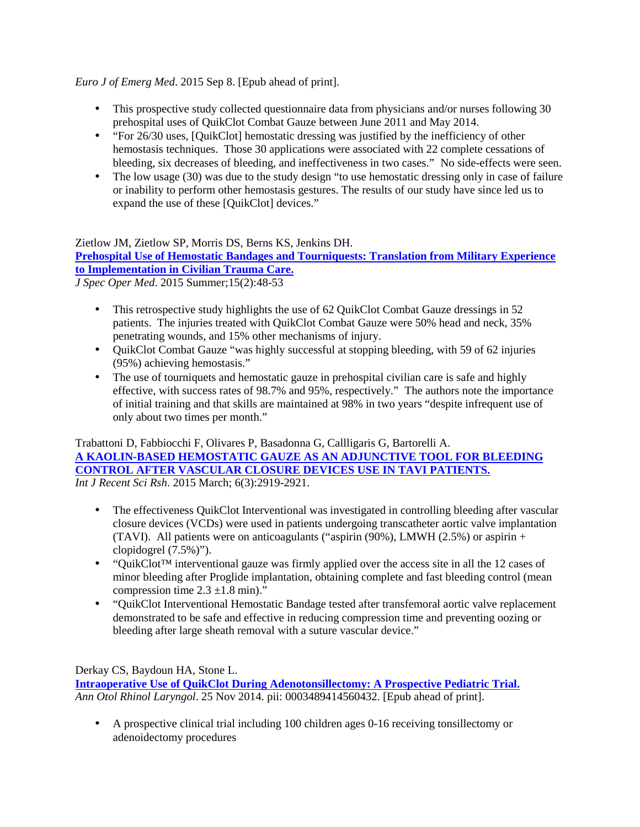*Euro J of Emerg Med*. 2015 Sep 8. [Epub ahead of print].

- This prospective study collected questionnaire data from physicians and/or nurses following 30 prehospital uses of QuikClot Combat Gauze between June 2011 and May 2014.
- "For 26/30 uses, [QuikClot] hemostatic dressing was justified by the inefficiency of other hemostasis techniques. Those 30 applications were associated with 22 complete cessations of bleeding, six decreases of bleeding, and ineffectiveness in two cases." No side-effects were seen.
- The low usage (30) was due to the study design "to use hemostatic dressing only in case of failure or inability to perform other hemostasis gestures. The results of our study have since led us to expand the use of these [QuikClot] devices."

# Zietlow JM, Zietlow SP, Morris DS, Berns KS, Jenkins DH.

**Prehospital Use of Hemostatic Bandages and Tourniquests: Translation from Military Experience to Implementation in Civilian Trauma Care.**

*J Spec Oper Med*. 2015 Summer;15(2):48-53

- This retrospective study highlights the use of 62 QuikClot Combat Gauze dressings in 52 patients. The injuries treated with QuikClot Combat Gauze were 50% head and neck, 35% penetrating wounds, and 15% other mechanisms of injury.
- QuikClot Combat Gauze "was highly successful at stopping bleeding, with 59 of 62 injuries (95%) achieving hemostasis."
- The use of tourniquets and hemostatic gauze in prehospital civilian care is safe and highly effective, with success rates of 98.7% and 95%, respectively." The authors note the importance of initial training and that skills are maintained at 98% in two years "despite infrequent use of only about two times per month."

## Trabattoni D, Fabbiocchi F, Olivares P, Basadonna G, Callligaris G, Bartorelli A. **A KAOLIN-BASED HEMOSTATIC GAUZE AS AN ADJUNCTIVE TOOL FOR BLEEDING CONTROL AFTER VASCULAR CLOSURE DEVICES USE IN TAVI PATIENTS.** *Int J Recent Sci Rsh*. 2015 March; 6(3):2919-2921.

- The effectiveness QuikClot Interventional was investigated in controlling bleeding after vascular closure devices (VCDs) were used in patients undergoing transcatheter aortic valve implantation (TAVI). All patients were on anticoagulants ("aspirin  $(90\%)$ , LMWH (2.5%) or aspirin + clopidogrel (7.5%)").
- $\int$  "QuikClot<sup>™</sup> interventional gauze was firmly applied over the access site in all the 12 cases of minor bleeding after Proglide implantation, obtaining complete and fast bleeding control (mean compression time  $2.3 \pm 1.8$  min)."
- "QuikClot Interventional Hemostatic Bandage tested after transfemoral aortic valve replacement demonstrated to be safe and effective in reducing compression time and preventing oozing or bleeding after large sheath removal with a suture vascular device."

Derkay CS, Baydoun HA, Stone L.

**Intraoperative Use of QuikClot During Adenotonsillectomy: A Prospective Pediatric Trial.** *Ann Otol Rhinol Laryngol*. 25 Nov 2014. pii: 0003489414560432. [Epub ahead of print].

 A prospective clinical trial including 100 children ages 0-16 receiving tonsillectomy or adenoidectomy procedures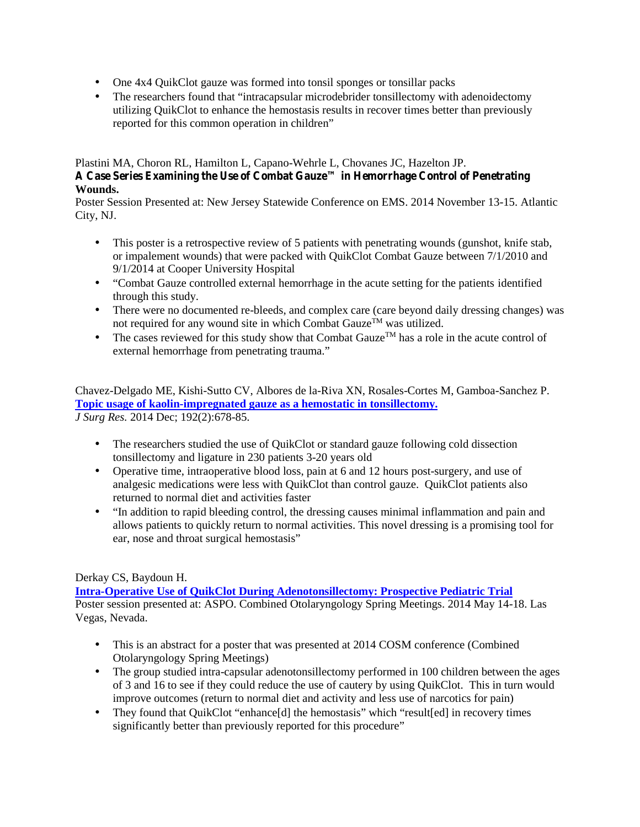- One 4x4 QuikClot gauze was formed into tonsil sponges or tonsillar packs
- The researchers found that "intracapsular microdebrider tonsillectomy with adenoidectomy utilizing QuikClot to enhance the hemostasis results in recover times better than previously reported for this common operation in children"

#### Plastini MA, Choron RL, Hamilton L, Capano-Wehrle L, Chovanes JC, Hazelton JP. **A Case Series Examining the Use of Combat Gauze™ in Hemorrhage Control of Penetrating Wounds.**

Poster Session Presented at: New Jersey Statewide Conference on EMS. 2014 November 13-15. Atlantic City, NJ.

- This poster is a retrospective review of 5 patients with penetrating wounds (gunshot, knife stab, or impalement wounds) that were packed with QuikClot Combat Gauze between 7/1/2010 and 9/1/2014 at Cooper University Hospital
- "Combat Gauze controlled external hemorrhage in the acute setting for the patients identified through this study.
- There were no documented re-bleeds, and complex care (care beyond daily dressing changes) was not required for any wound site in which Combat Gauze<sup>TM</sup> was utilized.
- The cases reviewed for this study show that Combat Gauze<sup>TM</sup> has a role in the acute control of external hemorrhage from penetrating trauma."

Chavez-Delgado ME, Kishi-Sutto CV, Albores de la-Riva XN, Rosales-Cortes M, Gamboa-Sanchez P. **Topic usage of kaolin-impregnated gauze as a hemostatic in tonsillectomy.** *J Surg Res.* 2014 Dec; 192(2):678-85.

- The researchers studied the use of QuikClot or standard gauze following cold dissection tonsillectomy and ligature in 230 patients 3-20 years old
- Operative time, intraoperative blood loss, pain at 6 and 12 hours post-surgery, and use of analgesic medications were less with QuikClot than control gauze. QuikClot patients also returned to normal diet and activities faster
- "In addition to rapid bleeding control, the dressing causes minimal inflammation and pain and allows patients to quickly return to normal activities. This novel dressing is a promising tool for ear, nose and throat surgical hemostasis"

# Derkay CS, Baydoun H.

**Intra-Operative Use of QuikClot During Adenotonsillectomy: Prospective Pediatric Trial** Poster session presented at: ASPO. Combined Otolaryngology Spring Meetings. 2014 May 14-18. Las Vegas, Nevada.

- This is an abstract for a poster that was presented at 2014 COSM conference (Combined Otolaryngology Spring Meetings)
- The group studied intra-capsular adenotonsillectomy performed in 100 children between the ages of 3 and 16 to see if they could reduce the use of cautery by using QuikClot. This in turn would improve outcomes (return to normal diet and activity and less use of narcotics for pain)
- They found that QuikClot "enhance[d] the hemostasis" which "result[ed] in recovery times significantly better than previously reported for this procedure"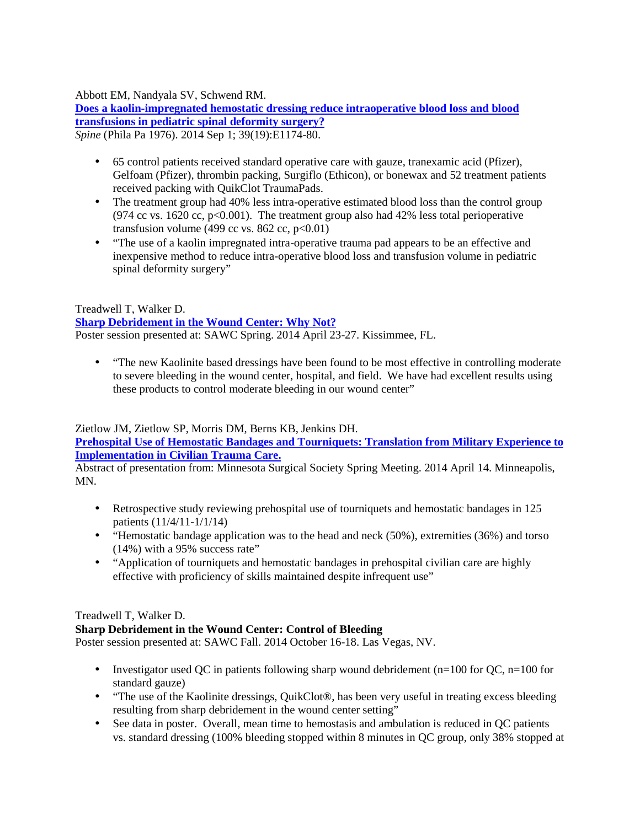Abbott EM, Nandyala SV, Schwend RM.

**Does a kaolin-impregnated hemostatic dressing reduce intraoperative blood loss and blood transfusions in pediatric spinal deformity surgery?** *Spine* (Phila Pa 1976). 2014 Sep 1; 39(19):E1174-80.

- 65 control patients received standard operative care with gauze, tranexamic acid (Pfizer), Gelfoam (Pfizer), thrombin packing, Surgiflo (Ethicon), or bonewax and 52 treatment patients received packing with QuikClot TraumaPads.
- The treatment group had 40% less intra-operative estimated blood loss than the control group (974 cc vs. 1620 cc,  $p<0.001$ ). The treatment group also had 42% less total perioperative transfusion volume (499 cc vs. 862 cc,  $p<0.01$ )
- "The use of a kaolin impregnated intra-operative trauma pad appears to be an effective and inexpensive method to reduce intra-operative blood loss and transfusion volume in pediatric spinal deformity surgery"

# Treadwell T, Walker D.

**Sharp Debridement in the Wound Center: Why Not?**

Poster session presented at: SAWC Spring. 2014 April 23-27. Kissimmee, FL.

 "The new Kaolinite based dressings have been found to be most effective in controlling moderate to severe bleeding in the wound center, hospital, and field. We have had excellent results using these products to control moderate bleeding in our wound center"

Zietlow JM, Zietlow SP, Morris DM, Berns KB, Jenkins DH.

**Prehospital Use of Hemostatic Bandages and Tourniquets: Translation from Military Experience to Implementation in Civilian Trauma Care.**

Abstract of presentation from: Minnesota Surgical Society Spring Meeting. 2014 April 14. Minneapolis, MN.

- Retrospective study reviewing prehospital use of tourniquets and hemostatic bandages in 125 patients (11/4/11-1/1/14)
- "Hemostatic bandage application was to the head and neck (50%), extremities (36%) and torso (14%) with a 95% success rate"
- "Application of tourniquets and hemostatic bandages in prehospital civilian care are highly effective with proficiency of skills maintained despite infrequent use"

#### Treadwell T, Walker D.

#### **Sharp Debridement in the Wound Center: Control of Bleeding**

Poster session presented at: SAWC Fall. 2014 October 16-18. Las Vegas, NV.

- Investigator used QC in patients following sharp wound debridement ( $n=100$  for QC,  $n=100$  for standard gauze)
- "The use of the Kaolinite dressings, QuikClot®, has been very useful in treating excess bleeding resulting from sharp debridement in the wound center setting"
- See data in poster. Overall, mean time to hemostasis and ambulation is reduced in QC patients vs. standard dressing (100% bleeding stopped within 8 minutes in QC group, only 38% stopped at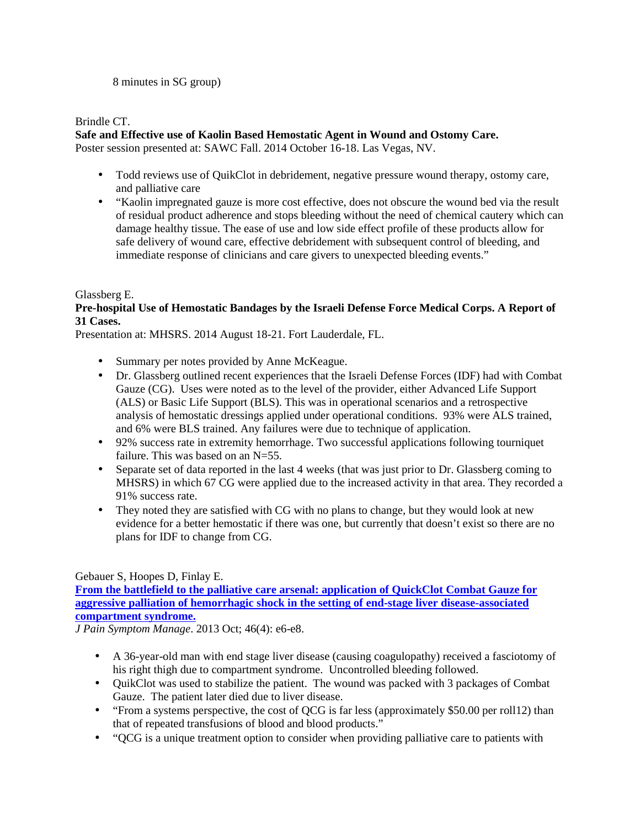#### 8 minutes in SG group)

## Brindle CT.

# **Safe and Effective use of Kaolin Based Hemostatic Agent in Wound and Ostomy Care.**

Poster session presented at: SAWC Fall. 2014 October 16-18. Las Vegas, NV.

- Todd reviews use of QuikClot in debridement, negative pressure wound therapy, ostomy care, and palliative care
- "Kaolin impregnated gauze is more cost effective, does not obscure the wound bed via the result of residual product adherence and stops bleeding without the need of chemical cautery which can damage healthy tissue. The ease of use and low side effect profile of these products allow for safe delivery of wound care, effective debridement with subsequent control of bleeding, and immediate response of clinicians and care givers to unexpected bleeding events."

## Glassberg E.

# **Pre-hospital Use of Hemostatic Bandages by the Israeli Defense Force Medical Corps. A Report of 31 Cases.**

Presentation at: MHSRS. 2014 August 18-21. Fort Lauderdale, FL.

- Summary per notes provided by Anne McKeague.
- Dr. Glassberg outlined recent experiences that the Israeli Defense Forces (IDF) had with Combat Gauze (CG). Uses were noted as to the level of the provider, either Advanced Life Support (ALS) or Basic Life Support (BLS). This was in operational scenarios and a retrospective analysis of hemostatic dressings applied under operational conditions. 93% were ALS trained, and 6% were BLS trained. Any failures were due to technique of application.
- 92% success rate in extremity hemorrhage. Two successful applications following tourniquet failure. This was based on an N=55.
- Separate set of data reported in the last 4 weeks (that was just prior to Dr. Glassberg coming to MHSRS) in which 67 CG were applied due to the increased activity in that area. They recorded a 91% success rate.
- They noted they are satisfied with CG with no plans to change, but they would look at new evidence for a better hemostatic if there was one, but currently that doesn't exist so there are no plans for IDF to change from CG.

#### Gebauer S, Hoopes D, Finlay E.

**From the battlefield to the palliative care arsenal: application of QuickClot Combat Gauze for aggressive palliation of hemorrhagic shock in the setting of end-stage liver disease-associated compartment syndrome.**

*J Pain Symptom Manage*. 2013 Oct; 46(4): e6-e8.

- A 36-year-old man with end stage liver disease (causing coagulopathy) received a fasciotomy of his right thigh due to compartment syndrome. Uncontrolled bleeding followed.
- QuikClot was used to stabilize the patient. The wound was packed with 3 packages of Combat Gauze. The patient later died due to liver disease.
- "From a systems perspective, the cost of OCG is far less (approximately \$50.00 per roll12) than that of repeated transfusions of blood and blood products."
- "QCG is a unique treatment option to consider when providing palliative care to patients with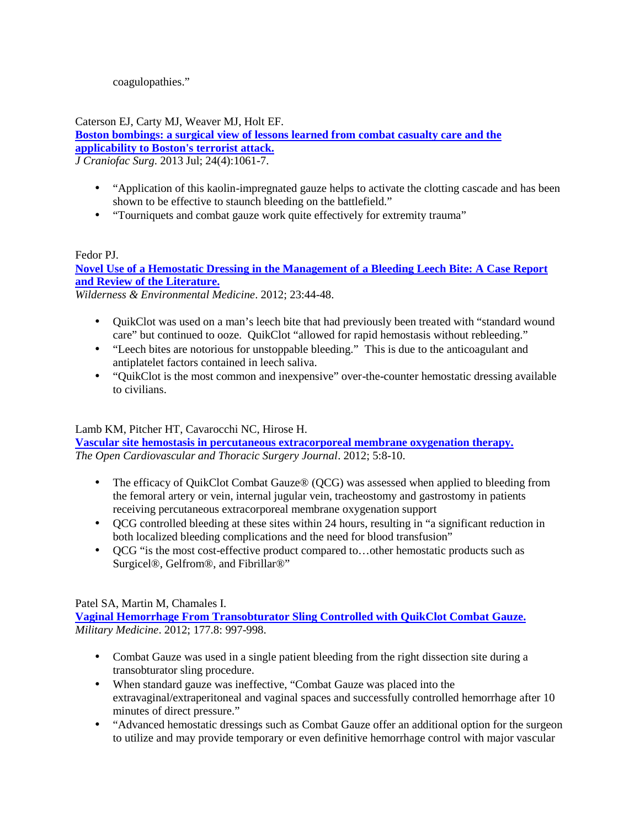coagulopathies."

Caterson EJ, Carty MJ, Weaver MJ, Holt EF.

**Boston bombings: a surgical view of lessons learned from combat casualty care and the applicability to Boston's terrorist attack.**

*J Craniofac Surg*. 2013 Jul; 24(4):1061-7.

- "Application of this kaolin-impregnated gauze helps to activate the clotting cascade and has been shown to be effective to staunch bleeding on the battlefield."
- "Tourniquets and combat gauze work quite effectively for extremity trauma"

Fedor PJ.

**Novel Use of a Hemostatic Dressing in the Management of a Bleeding Leech Bite: A Case Report and Review of the Literature.**

*Wilderness & Environmental Medicine*. 2012; 23:44-48.

- QuikClot was used on a man's leech bite that had previously been treated with "standard wound care" but continued to ooze. QuikClot "allowed for rapid hemostasis without rebleeding."
- "Leech bites are notorious for unstoppable bleeding." This is due to the anticoagulant and antiplatelet factors contained in leech saliva.
- "QuikClot is the most common and inexpensive" over-the-counter hemostatic dressing available to civilians.

# Lamb KM, Pitcher HT, Cavarocchi NC, Hirose H.

**Vascular site hemostasis in percutaneous extracorporeal membrane oxygenation therapy.** *The Open Cardiovascular and Thoracic Surgery Journal*. 2012; 5:8-10.

- The efficacy of QuikClot Combat Gauze® (QCG) was assessed when applied to bleeding from the femoral artery or vein, internal jugular vein, tracheostomy and gastrostomy in patients receiving percutaneous extracorporeal membrane oxygenation support
- QCG controlled bleeding at these sites within 24 hours, resulting in "a significant reduction in both localized bleeding complications and the need for blood transfusion"
- QCG "is the most cost-effective product compared to...other hemostatic products such as Surgicel®, Gelfrom®, and Fibrillar®"

# Patel SA, Martin M, Chamales I.

**Vaginal Hemorrhage From Transobturator Sling Controlled with QuikClot Combat Gauze.** *Military Medicine*. 2012; 177.8: 997-998.

- Combat Gauze was used in a single patient bleeding from the right dissection site during a transobturator sling procedure.
- When standard gauze was ineffective, "Combat Gauze was placed into the extravaginal/extraperitoneal and vaginal spaces and successfully controlled hemorrhage after 10 minutes of direct pressure."
- "Advanced hemostatic dressings such as Combat Gauze offer an additional option for the surgeon to utilize and may provide temporary or even definitive hemorrhage control with major vascular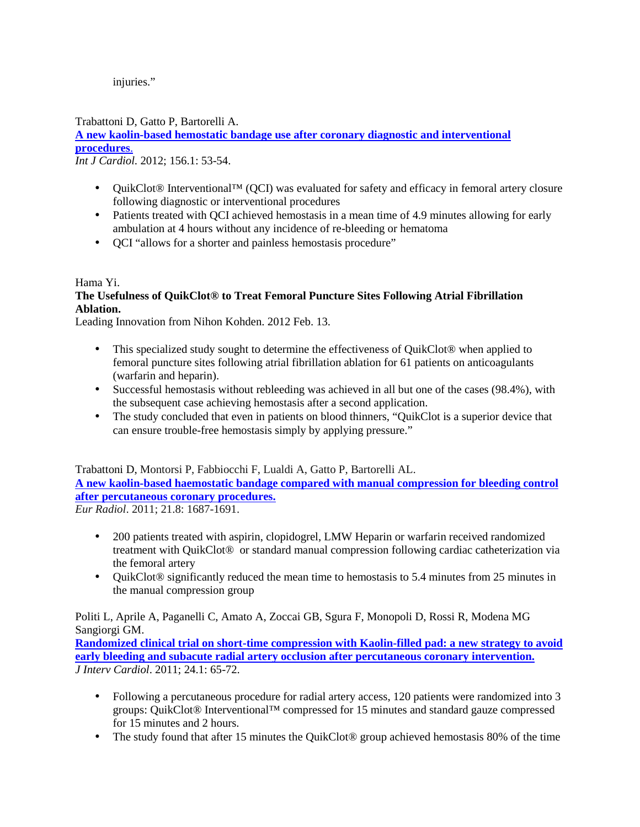injuries."

Trabattoni D, Gatto P, Bartorelli A.

**A new kaolin-based hemostatic bandage use after coronary diagnostic and interventional procedures**.

*Int J Cardiol.* 2012; 156.1: 53-54.

- QuikClot® Interventional™ (QCI) was evaluated for safety and efficacy in femoral artery closure following diagnostic or interventional procedures
- Patients treated with QCI achieved hemostasis in a mean time of 4.9 minutes allowing for early ambulation at 4 hours without any incidence of re-bleeding or hematoma
- QCI "allows for a shorter and painless hemostasis procedure"

# Hama Yi.

# **The Usefulness of QuikClot® to Treat Femoral Puncture Sites Following Atrial Fibrillation Ablation.**

Leading Innovation from Nihon Kohden. 2012 Feb. 13.

- This specialized study sought to determine the effectiveness of QuikClot® when applied to femoral puncture sites following atrial fibrillation ablation for 61 patients on anticoagulants (warfarin and heparin).
- Successful hemostasis without rebleeding was achieved in all but one of the cases (98.4%), with the subsequent case achieving hemostasis after a second application.
- The study concluded that even in patients on blood thinners, "QuikClot is a superior device that can ensure trouble-free hemostasis simply by applying pressure."

Trabattoni D, Montorsi P, Fabbiocchi F, Lualdi A, Gatto P, Bartorelli AL.

**A new kaolin-based haemostatic bandage compared with manual compression for bleeding control after percutaneous coronary procedures.**

*Eur Radiol*. 2011; 21.8: 1687-1691.

- 200 patients treated with aspirin, clopidogrel, LMW Heparin or warfarin received randomized treatment with QuikClot® or standard manual compression following cardiac catheterization via the femoral artery
- QuikClot® significantly reduced the mean time to hemostasis to 5.4 minutes from 25 minutes in the manual compression group

Politi L, Aprile A, Paganelli C, Amato A, Zoccai GB, Sgura F, Monopoli D, Rossi R, Modena MG Sangiorgi GM.

**Randomized clinical trial on short-time compression with Kaolin-filled pad: a new strategy to avoid early bleeding and subacute radial artery occlusion after percutaneous coronary intervention.** *J Interv Cardiol*. 2011; 24.1: 65-72.

- Following a percutaneous procedure for radial artery access, 120 patients were randomized into 3 groups: QuikClot® Interventional™ compressed for 15 minutes and standard gauze compressed for 15 minutes and 2 hours.
- The study found that after 15 minutes the QuikClot® group achieved hemostasis 80% of the time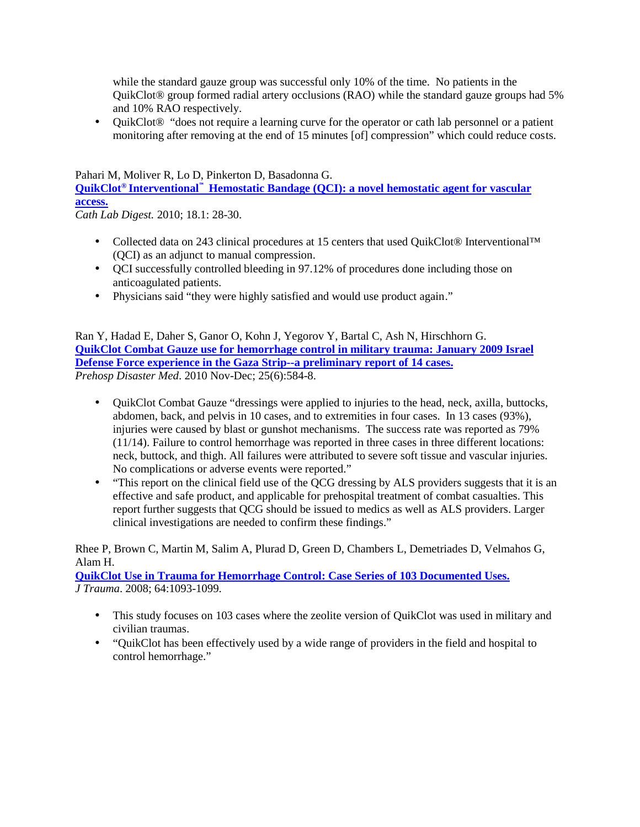while the standard gauze group was successful only 10% of the time. No patients in the QuikClot® group formed radial artery occlusions (RAO) while the standard gauze groups had 5% and 10% RAO respectively.

 QuikClot® "does not require a learning curve for the operator or cath lab personnel or a patient monitoring after removing at the end of 15 minutes [of] compression" which could reduce costs.

Pahari M, Moliver R, Lo D, Pinkerton D, Basadonna G.

**QuikClot® Interventional™ Hemostatic Bandage (QCI): a novel hemostatic agent for vascular access.**

*Cath Lab Digest.* 2010; 18.1: 28-30.

- Collected data on 243 clinical procedures at 15 centers that used QuikClot® Interventional™ (QCI) as an adjunct to manual compression.
- QCI successfully controlled bleeding in 97.12% of procedures done including those on anticoagulated patients.
- Physicians said "they were highly satisfied and would use product again."

Ran Y, Hadad E, Daher S, Ganor O, Kohn J, Yegorov Y, Bartal C, Ash N, Hirschhorn G. **QuikClot Combat Gauze use for hemorrhage control in military trauma: January 2009 Israel Defense Force experience in the Gaza Strip--a preliminary report of 14 cases.** *Prehosp Disaster Med*. 2010 Nov-Dec; 25(6):584-8.

 QuikClot Combat Gauze "dressings were applied to injuries to the head, neck, axilla, buttocks, abdomen, back, and pelvis in 10 cases, and to extremities in four cases. In 13 cases (93%), injuries were caused by blast or gunshot mechanisms. The success rate was reported as 79% (11/14). Failure to control hemorrhage was reported in three cases in three different locations: neck, buttock, and thigh. All failures were attributed to severe soft tissue and vascular injuries. No complications or adverse events were reported."

 "This report on the clinical field use of the QCG dressing by ALS providers suggests that it is an effective and safe product, and applicable for prehospital treatment of combat casualties. This report further suggests that QCG should be issued to medics as well as ALS providers. Larger clinical investigations are needed to confirm these findings."

Rhee P, Brown C, Martin M, Salim A, Plurad D, Green D, Chambers L, Demetriades D, Velmahos G, Alam H.

**QuikClot Use in Trauma for Hemorrhage Control: Case Series of 103 Documented Uses.** *J Trauma*. 2008; 64:1093-1099.

- This study focuses on 103 cases where the zeolite version of QuikClot was used in military and civilian traumas.
- "QuikClot has been effectively used by a wide range of providers in the field and hospital to control hemorrhage."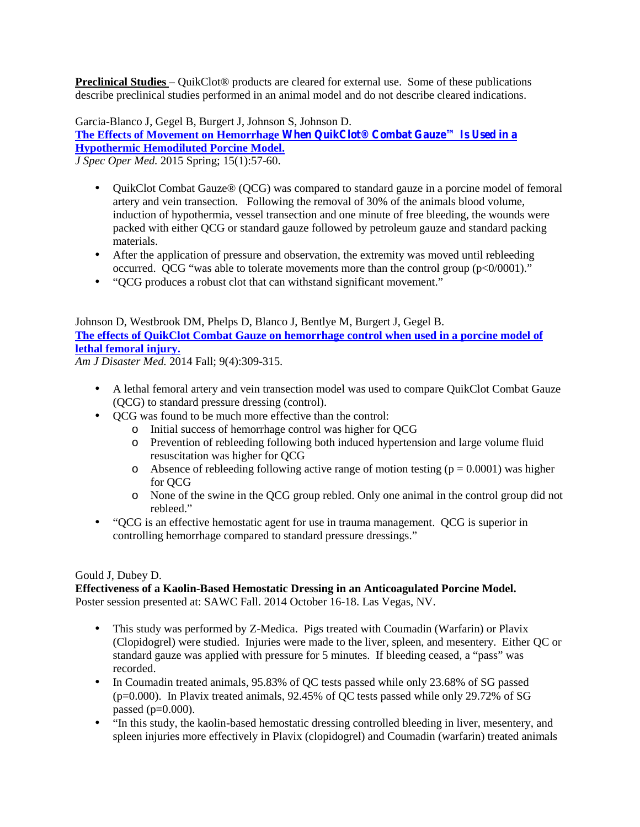**Preclinical Studies** – QuikClot® products are cleared for external use. Some of these publications describe preclinical studies performed in an animal model and do not describe cleared indications.

Garcia-Blanco J, Gegel B, Burgert J, Johnson S, Johnson D.

**The Effects of Movement on Hemorrhage When QuikClot® Combat Gauze™ Is Used in a Hypothermic Hemodiluted Porcine Model.**

*J Spec Oper Med.* 2015 Spring; 15(1):57-60.

- QuikClot Combat Gauze® (QCG) was compared to standard gauze in a porcine model of femoral artery and vein transection. Following the removal of 30% of the animals blood volume, induction of hypothermia, vessel transection and one minute of free bleeding, the wounds were packed with either QCG or standard gauze followed by petroleum gauze and standard packing materials.
- After the application of pressure and observation, the extremity was moved until rebleeding occurred. QCG "was able to tolerate movements more than the control group (p<0/0001)."
- "QCG produces a robust clot that can withstand significant movement."

Johnson D, Westbrook DM, Phelps D, Blanco J, Bentlye M, Burgert J, Gegel B. **The effects of QuikClot Combat Gauze on hemorrhage control when used in a porcine model of lethal femoral injury.**

*Am J Disaster Med.* 2014 Fall; 9(4):309-315.

- A lethal femoral artery and vein transection model was used to compare QuikClot Combat Gauze (QCG) to standard pressure dressing (control).
- $\log$  OCG was found to be much more effective than the control:
	- o Initial success of hemorrhage control was higher for QCG
	- o Prevention of rebleeding following both induced hypertension and large volume fluid resuscitation was higher for QCG
	- $\circ$  Absence of rebleeding following active range of motion testing ( $p = 0.0001$ ) was higher for QCG
	- o None of the swine in the QCG group rebled. Only one animal in the control group did not rebleed."
- "QCG is an effective hemostatic agent for use in trauma management. QCG is superior in controlling hemorrhage compared to standard pressure dressings."

# Gould J, Dubey D.

**Effectiveness of a Kaolin-Based Hemostatic Dressing in an Anticoagulated Porcine Model.** Poster session presented at: SAWC Fall. 2014 October 16-18. Las Vegas, NV.

- This study was performed by Z-Medica. Pigs treated with Coumadin (Warfarin) or Plavix (Clopidogrel) were studied. Injuries were made to the liver, spleen, and mesentery. Either QC or standard gauze was applied with pressure for 5 minutes. If bleeding ceased, a "pass" was recorded.
- In Coumadin treated animals, 95.83% of QC tests passed while only 23.68% of SG passed (p=0.000). In Plavix treated animals, 92.45% of  $\overline{OC}$  tests passed while only 29.72% of SG passed ( $p=0.000$ ).
- "In this study, the kaolin-based hemostatic dressing controlled bleeding in liver, mesentery, and spleen injuries more effectively in Plavix (clopidogrel) and Coumadin (warfarin) treated animals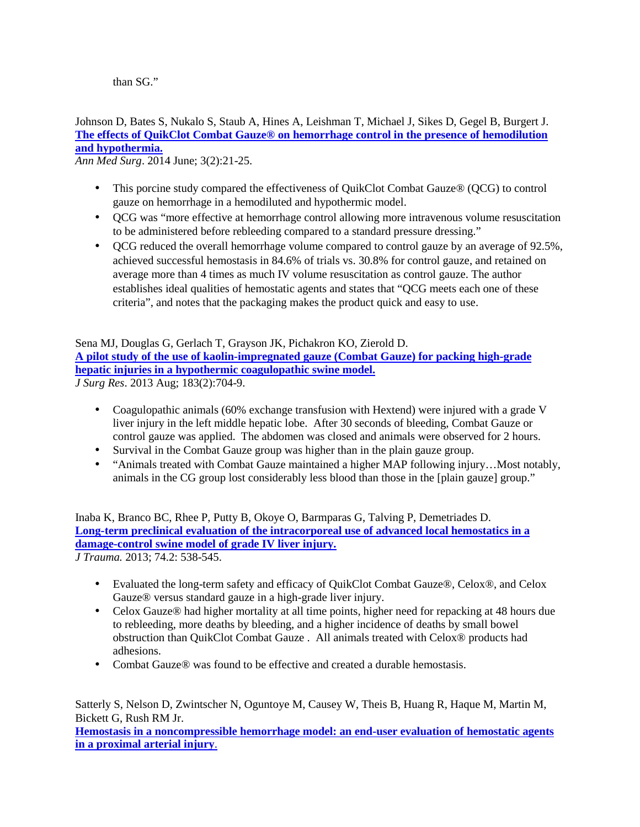than SG."

Johnson D, Bates S, Nukalo S, Staub A, Hines A, Leishman T, Michael J, Sikes D, Gegel B, Burgert J. **The effects of QuikClot Combat Gauze® on hemorrhage control in the presence of hemodilution and hypothermia.**

*Ann Med Surg*. 2014 June; 3(2):21-25.

- This porcine study compared the effectiveness of QuikClot Combat Gauze® (QCG) to control gauze on hemorrhage in a hemodiluted and hypothermic model.
- QCG was "more effective at hemorrhage control allowing more intravenous volume resuscitation to be administered before rebleeding compared to a standard pressure dressing."
- QCG reduced the overall hemorrhage volume compared to control gauze by an average of 92.5%, achieved successful hemostasis in 84.6% of trials vs. 30.8% for control gauze, and retained on average more than 4 times as much IV volume resuscitation as control gauze. The author establishes ideal qualities of hemostatic agents and states that "QCG meets each one of these criteria", and notes that the packaging makes the product quick and easy to use.

Sena MJ, Douglas G, Gerlach T, Grayson JK, Pichakron KO, Zierold D. **A pilot study of the use of kaolin-impregnated gauze (Combat Gauze) for packing high-grade hepatic injuries in a hypothermic coagulopathic swine model.** *J Surg Res*. 2013 Aug; 183(2):704-9.

- Coagulopathic animals (60% exchange transfusion with Hextend) were injured with a grade V liver injury in the left middle hepatic lobe. After 30 seconds of bleeding, Combat Gauze or control gauze was applied. The abdomen was closed and animals were observed for 2 hours.
- Survival in the Combat Gauze group was higher than in the plain gauze group.
- "Animals treated with Combat Gauze maintained a higher MAP following injury…Most notably, animals in the CG group lost considerably less blood than those in the [plain gauze] group."

Inaba K, Branco BC, Rhee P, Putty B, Okoye O, Barmparas G, Talving P, Demetriades D. **Long-term preclinical evaluation of the intracorporeal use of advanced local hemostatics in a damage-control swine model of grade IV liver injury.**

*J Trauma.* 2013; 74.2: 538-545.

- Evaluated the long-term safety and efficacy of QuikClot Combat Gauze®, Celox®, and Celox Gauze® versus standard gauze in a high-grade liver injury.
- Celox Gauze® had higher mortality at all time points, higher need for repacking at 48 hours due to rebleeding, more deaths by bleeding, and a higher incidence of deaths by small bowel obstruction than QuikClot Combat Gauze . All animals treated with Celox® products had adhesions.
- Combat Gauze® was found to be effective and created a durable hemostasis.

Satterly S, Nelson D, Zwintscher N, Oguntoye M, Causey W, Theis B, Huang R, Haque M, Martin M, Bickett G, Rush RM Jr.

**Hemostasis in a noncompressible hemorrhage model: an end-user evaluation of hemostatic agents in a proximal arterial injury**.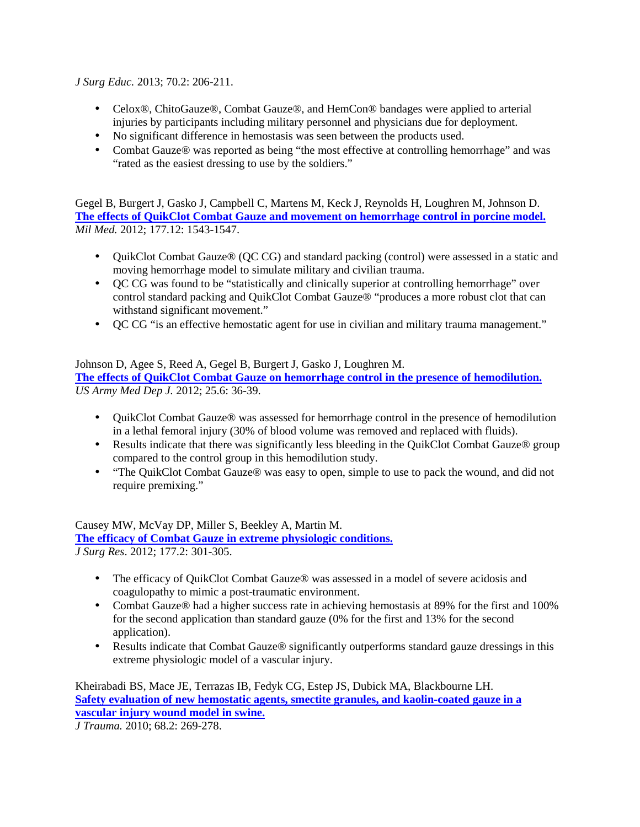*J Surg Educ.* 2013; 70.2: 206-211.

- Celox®, ChitoGauze®, Combat Gauze®, and HemCon® bandages were applied to arterial injuries by participants including military personnel and physicians due for deployment.
- No significant difference in hemostasis was seen between the products used.
- Combat Gauze® was reported as being "the most effective at controlling hemorrhage" and was "rated as the easiest dressing to use by the soldiers."

Gegel B, Burgert J, Gasko J, Campbell C, Martens M, Keck J, Reynolds H, Loughren M, Johnson D. **The effects of QuikClot Combat Gauze and movement on hemorrhage control in porcine model.** *Mil Med.* 2012; 177.12: 1543-1547.

- QuikClot Combat Gauze® (QC CG) and standard packing (control) were assessed in a static and moving hemorrhage model to simulate military and civilian trauma.
- QC CG was found to be "statistically and clinically superior at controlling hemorrhage" over control standard packing and QuikClot Combat Gauze® "produces a more robust clot that can withstand significant movement."
- QC CG "is an effective hemostatic agent for use in civilian and military trauma management."

## Johnson D, Agee S, Reed A, Gegel B, Burgert J, Gasko J, Loughren M.

**The effects of QuikClot Combat Gauze on hemorrhage control in the presence of hemodilution.** *US Army Med Dep J.* 2012; 25.6: 36-39.

- QuikClot Combat Gauze® was assessed for hemorrhage control in the presence of hemodilution in a lethal femoral injury (30% of blood volume was removed and replaced with fluids).
- Results indicate that there was significantly less bleeding in the QuikClot Combat Gauze® group compared to the control group in this hemodilution study.
- "The QuikClot Combat Gauze® was easy to open, simple to use to pack the wound, and did not require premixing."

Causey MW, McVay DP, Miller S, Beekley A, Martin M.

**The efficacy of Combat Gauze in extreme physiologic conditions.** *J Surg Res*. 2012; 177.2: 301-305.

- The efficacy of QuikClot Combat Gauze® was assessed in a model of severe acidosis and coagulopathy to mimic a post-traumatic environment.
- Combat Gauze® had a higher success rate in achieving hemostasis at 89% for the first and 100% for the second application than standard gauze (0% for the first and 13% for the second application).
- Results indicate that Combat Gauze® significantly outperforms standard gauze dressings in this extreme physiologic model of a vascular injury.

Kheirabadi BS, Mace JE, Terrazas IB, Fedyk CG, Estep JS, Dubick MA, Blackbourne LH. **Safety evaluation of new hemostatic agents, smectite granules, and kaolin-coated gauze in a vascular injury wound model in swine.**

*J Trauma.* 2010; 68.2: 269-278.